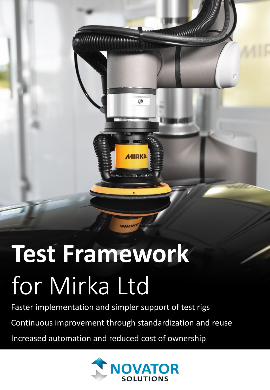# **Test Framework** for Mirka Ltd

Faster implementation and simpler support of test rigs

Continuous improvement through standardization and reuse

Increased automation and reduced cost of ownership



 $\circledcirc$ 

**MIRKA** 

**CONTROLLADOR CONTROLLER**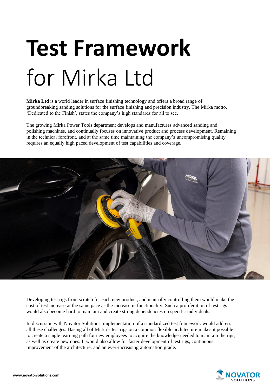# **Test Framework** for Mirka Ltd

**Mirka Ltd** is a world leader in surface finishing technology and offers a broad range of groundbreaking sanding solutions for the surface finishing and precision industry. The Mirka motto, 'Dedicated to the Finish', states the company's high standards for all to see.

The growing Mirka Power Tools department develops and manufactures advanced sanding and polishing machines, and continually focuses on innovative product and process development. Remaining in the technical forefront, and at the same time maintaining the company's uncompromising quality requires an equally high paced development of test capabilities and coverage.



Developing test rigs from scratch for each new product, and manually controlling them would make the cost of test increase at the same pace as the increase in functionality. Such a proliferation of test rigs would also become hard to maintain and create strong dependencies on specific individuals.

In discussion with Novator Solutions, implementation of a standardized test framework would address all these challenges. Basing all of Mirka's test rigs on a common flexible architecture makes it possible to create a single learning path for new employees to acquire the knowledge needed to maintain the rigs, as well as create new ones. It would also allow for faster development of test rigs, continuous improvement of the architecture, and an ever-increasing automation grade.

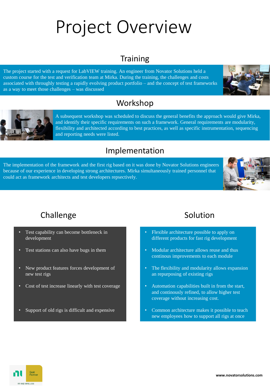## Project Overview

## **Training**

The project started with a request for LabVIEW training. An engineer from Novator Solutions held a custom course for the test and verification team at Mirka. During the training, the challenges and costs associated with throughly testing a rapidly evolving product portfolio – and the concept of test frameworks as a way to meet those challenges – was discussed







A subsequent workshop was scheduled to discuss the general benefits the approach would give Mirka, and identify their specific requirements on such a framework. General requirements are modularity, flexibility and architected according to best practices, as well as specific instrumentation, sequencing and reporting needs were listed.

### Implementation

The implementation of the framework and the first rig based on it was done by Novator Solutions engineers because of our experience in developing strong architectures. Mirka simultaneously trained personnel that could act as framework architects and test developers repsectively.



## Challenge Solution

- Test capability can become bottleneck in development
- Test stations can also have bugs in them
- New product features forces development of new test rigs
- Cost of test increase linearly with test coverage
- Support of old rigs is difficult and expensive

- Flexible architecture possible to apply on different products for fast rig development
- Modular architecture allows reuse and thus continous improvements to each module
- The flexibility and modularity allows expansion an repurposing of existing rigs
- Automation capabilities built in from the start, and continously refined, to allow higher test coverage without increasing cost.
- Common architecture makes it possible to teach new employees how to support all rigs at once

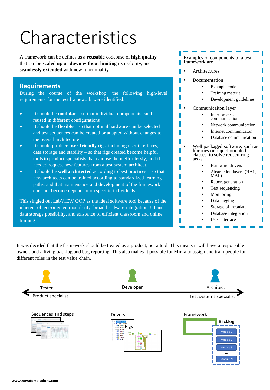## Characteristics

A framework can be defines as a **reusable** codebase of **high quality** that can be **scaled up or down without limiting** its usability, and **seamlessly extended** with new functionality.

### **Requirements**

During the course of the workshop, the following high-level requirements for the test framework were identified:

- It should be **modular** so that individual components can be reused in different configurations
- It should be **flexible** so that optimal hardware can be selected and test sequences can be created or adapted without changes to the overall architecture
- It should produce **user friendly** rigs, including user interfaces, data storage and stability  $-$  so that rigs created become helpful tools to product specialists that can use them effortlessly, and if needed request new features from a test system architect.
- It should be **well architected** according to best practices so that new architects can be trained according to standardized learning paths, and that maintenance and development of the framework does not become dependent on specific individuals.

This singled out LabVIEW OOP as the ideal software tool because of the inherent object-oriented modularity, broad hardware integration, UI and data storage possibility, and existence of efficient classroom and online training.

| framework are | Examples of components of a test                                                                 |
|---------------|--------------------------------------------------------------------------------------------------|
| Architectures |                                                                                                  |
|               | Documentation                                                                                    |
|               | Example code                                                                                     |
|               | Training material                                                                                |
|               | Development guidelines                                                                           |
|               | Communicaiton layer                                                                              |
|               | Inter-process<br>communication                                                                   |
|               | Network communication                                                                            |
|               | Internet communicaton                                                                            |
|               | Database communication                                                                           |
| tasks         | Well packaged software, such as<br>libraries or object-oriented<br>classes, to solve reoccurring |
|               | Hardware drivers                                                                                 |
|               | Abstraction layers (HAL,<br>MAL)                                                                 |
|               | Report generation                                                                                |
|               | Test sequencing                                                                                  |
|               | Monitoring                                                                                       |
|               | Data logging                                                                                     |
|               | Storage of metadata                                                                              |
|               | Database integration                                                                             |
|               | User interface                                                                                   |

It was decided that the framework should be treated as a product, not a tool. This means it will have a responsible owner, and a living backlog and bug reporting. This also makes it possible for Mirka to assign and train people for different roles in the test value chain.